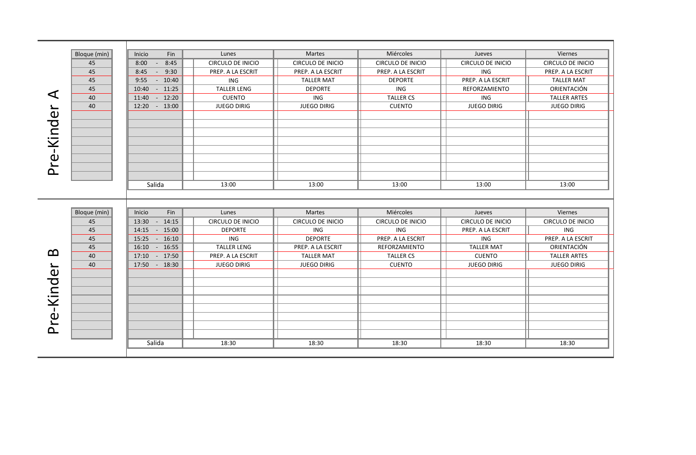|            | Bloque (min) | Inicio<br>Fin          | Lunes                    | Martes                   | Miércoles                | Jueves                   | Viernes                  |
|------------|--------------|------------------------|--------------------------|--------------------------|--------------------------|--------------------------|--------------------------|
|            | 45           | 8:45<br>8:00<br>$\sim$ | CIRCULO DE INICIO        | <b>CIRCULO DE INICIO</b> | <b>CIRCULO DE INICIO</b> | <b>CIRCULO DE INICIO</b> | <b>CIRCULO DE INICIO</b> |
|            | 45           | 9:30<br>8:45<br>$\sim$ | PREP. A LA ESCRIT        | PREP. A LA ESCRIT        | PREP. A LA ESCRIT        | ING                      | PREP. A LA ESCRIT        |
|            | 45           | $-10:40$<br>9:55       | ING                      | <b>TALLER MAT</b>        | <b>DEPORTE</b>           | PREP. A LA ESCRIT        | <b>TALLER MAT</b>        |
|            | 45           | 10:40<br>$-11:25$      | <b>TALLER LENG</b>       | <b>DEPORTE</b>           | <b>ING</b>               | REFORZAMIENTO            | ORIENTACIÓN              |
| ◁          | 40           | 11:40 - 12:20          | <b>CUENTO</b>            | ING                      | <b>TALLER CS</b>         | <b>ING</b>               | <b>TALLER ARTES</b>      |
|            | 40           | 12:20 - 13:00          | <b>JUEGO DIRIG</b>       | <b>JUEGO DIRIG</b>       | <b>CUENTO</b>            | <b>JUEGO DIRIG</b>       | <b>JUEGO DIRIG</b>       |
|            |              |                        |                          |                          |                          |                          |                          |
|            |              |                        |                          |                          |                          |                          |                          |
|            |              |                        |                          |                          |                          |                          |                          |
|            |              |                        |                          |                          |                          |                          |                          |
|            |              |                        |                          |                          |                          |                          |                          |
|            |              |                        |                          |                          |                          |                          |                          |
| Pre-Kinder |              |                        |                          |                          |                          |                          |                          |
|            |              |                        |                          |                          |                          |                          |                          |
|            |              | Salida                 | 13:00                    | 13:00                    | 13:00                    | 13:00                    | 13:00                    |
|            |              |                        |                          |                          |                          |                          |                          |
|            |              |                        |                          |                          |                          |                          |                          |
|            | Bloque (min) | Inicio<br>Fin          | Lunes                    | <b>Martes</b>            | Miércoles                | Jueves                   | Viernes                  |
|            | 45           | 13:30 - 14:15          | <b>CIRCULO DE INICIO</b> | <b>CIRCULO DE INICIO</b> | <b>CIRCULO DE INICIO</b> | <b>CIRCULO DE INICIO</b> | <b>CIRCULO DE INICIO</b> |
|            | 45           | 14:15 - 15:00          | <b>DEPORTE</b>           | <b>ING</b>               | ING                      | PREP. A LA ESCRIT        | <b>ING</b>               |
|            | 45           | 15:25 - 16:10          | ING                      | <b>DEPORTE</b>           | PREP. A LA ESCRIT        | <b>ING</b>               | PREP. A LA ESCRIT        |
|            | 45           | 16:10 - 16:55          | <b>TALLER LENG</b>       | PREP. A LA ESCRIT        | REFORZAMIENTO            | <b>TALLER MAT</b>        | ORIENTACIÓN              |
| മ          | 40           | 17:10 - 17:50          | PREP. A LA ESCRIT        | <b>TALLER MAT</b>        | <b>TALLER CS</b>         | <b>CUENTO</b>            | <b>TALLER ARTES</b>      |
|            | 40           | 17:50 - 18:30          | <b>JUEGO DIRIG</b>       | <b>JUEGO DIRIG</b>       | <b>CUENTO</b>            | <b>JUEGO DIRIG</b>       | <b>JUEGO DIRIG</b>       |
| Pre-Kinder |              |                        |                          |                          |                          |                          |                          |
|            |              |                        |                          |                          |                          |                          |                          |
|            |              |                        |                          |                          |                          |                          |                          |
|            |              |                        |                          |                          |                          |                          |                          |
|            |              |                        |                          |                          |                          |                          |                          |
|            |              |                        |                          |                          |                          |                          |                          |
|            |              |                        |                          |                          |                          |                          |                          |
|            |              |                        |                          |                          |                          |                          |                          |
|            |              |                        |                          |                          |                          |                          |                          |
|            |              | Salida                 | 18:30                    | 18:30                    | 18:30                    | 18:30                    | 18:30                    |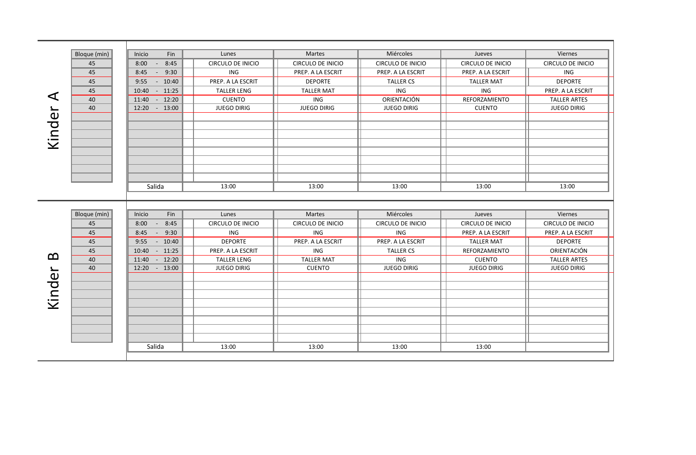|        | Bloque (min) | Fin<br>Inicio                  | Lunes                    | <b>Martes</b>            | Miércoles                | <b>Jueves</b>            | Viernes                  |
|--------|--------------|--------------------------------|--------------------------|--------------------------|--------------------------|--------------------------|--------------------------|
|        | 45           | 8:45<br>8:00<br>$\sim$         | <b>CIRCULO DE INICIO</b> | <b>CIRCULO DE INICIO</b> | <b>CIRCULO DE INICIO</b> | <b>CIRCULO DE INICIO</b> | <b>CIRCULO DE INICIO</b> |
|        | 45           | 9:30<br>8:45<br>$\sim$         | ING                      | PREP. A LA ESCRIT        | PREP. A LA ESCRIT        | PREP. A LA ESCRIT        | ING                      |
|        | 45           | $-10:40$<br>9:55               | PREP. A LA ESCRIT        | <b>DEPORTE</b>           | <b>TALLER CS</b>         | <b>TALLER MAT</b>        | <b>DEPORTE</b>           |
|        | 45           | 10:40<br>$-11:25$              | <b>TALLER LENG</b>       | <b>TALLER MAT</b>        | ING                      | <b>ING</b>               | PREP. A LA ESCRIT        |
| ◁      | 40           | $-12:20$<br>11:40              | <b>CUENTO</b>            | ING                      | ORIENTACIÓN              | REFORZAMIENTO            | <b>TALLER ARTES</b>      |
|        | 40           | 12:20 - 13:00                  | <b>JUEGO DIRIG</b>       | <b>JUEGO DIRIG</b>       | <b>JUEGO DIRIG</b>       | <b>CUENTO</b>            | <b>JUEGO DIRIG</b>       |
|        |              |                                |                          |                          |                          |                          |                          |
|        |              |                                |                          |                          |                          |                          |                          |
| Kinder |              |                                |                          |                          |                          |                          |                          |
|        |              |                                |                          |                          |                          |                          |                          |
|        |              |                                |                          |                          |                          |                          |                          |
|        |              |                                |                          |                          |                          |                          |                          |
|        |              |                                |                          |                          |                          |                          |                          |
|        |              |                                |                          |                          |                          |                          |                          |
|        |              | Salida                         | 13:00                    | 13:00                    | 13:00                    | 13:00                    | 13:00                    |
|        |              |                                |                          |                          |                          |                          |                          |
|        |              |                                |                          |                          |                          |                          |                          |
|        | Bloque (min) | Fin<br>Inicio                  | Lunes                    | <b>Martes</b>            | Miércoles                | Jueves                   | Viernes                  |
|        | 45           | 8:45<br>8:00<br>$\sim$         | CIRCULO DE INICIO        | <b>CIRCULO DE INICIO</b> | CIRCULO DE INICIO        | <b>CIRCULO DE INICIO</b> | CIRCULO DE INICIO        |
|        | 45           | 9:30<br>8:45<br>$\sim$ $ \sim$ | ING                      | <b>ING</b>               | <b>ING</b>               | PREP. A LA ESCRIT        | PREP. A LA ESCRIT        |
|        | 45           | 9:55<br>$-10:40$               | <b>DEPORTE</b>           | PREP. A LA ESCRIT        | PREP. A LA ESCRIT        | <b>TALLER MAT</b>        | <b>DEPORTE</b>           |
|        | 45           | 10:40 - 11:25                  | PREP. A LA ESCRIT        | <b>ING</b>               | <b>TALLER CS</b>         | REFORZAMIENTO            | ORIENTACIÓN              |
| മ      | 40           | 11:40 - 12:20                  | <b>TALLER LENG</b>       | <b>TALLER MAT</b>        | ING                      | <b>CUENTO</b>            | <b>TALLER ARTES</b>      |
|        | 40           | 12:20 - 13:00                  | <b>JUEGO DIRIG</b>       | <b>CUENTO</b>            | <b>JUEGO DIRIG</b>       | <b>JUEGO DIRIG</b>       | <b>JUEGO DIRIG</b>       |
| Kinder |              |                                |                          |                          |                          |                          |                          |
|        |              |                                |                          |                          |                          |                          |                          |
|        |              |                                |                          |                          |                          |                          |                          |
|        |              |                                |                          |                          |                          |                          |                          |
|        |              |                                |                          |                          |                          |                          |                          |
|        |              |                                |                          |                          |                          |                          |                          |
|        |              |                                |                          |                          |                          |                          |                          |
|        |              |                                |                          |                          |                          |                          |                          |
|        |              | Salida                         | 13:00                    | 13:00                    | 13:00                    | 13:00                    |                          |
|        |              |                                |                          |                          |                          |                          |                          |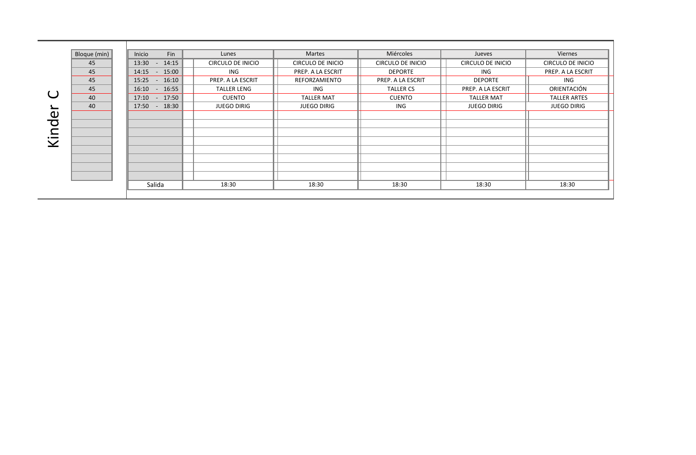|                             | Bloque (min) | Fin<br>Inicio     | Lunes              | <b>Martes</b>            | Miércoles         | Jueves             | Viernes                  |
|-----------------------------|--------------|-------------------|--------------------|--------------------------|-------------------|--------------------|--------------------------|
|                             | 45           | 13:30 - 14:15     | CIRCULO DE INICIO  | <b>CIRCULO DE INICIO</b> | CIRCULO DE INICIO | CIRCULO DE INICIO  | <b>CIRCULO DE INICIO</b> |
|                             | 45           | $-15:00$<br>14:15 | <b>ING</b>         | PREP. A LA ESCRIT        | <b>DEPORTE</b>    | ING                | PREP. A LA ESCRIT        |
|                             | 45           | $15:25 - 16:10$   | PREP. A LA ESCRIT  | REFORZAMIENTO            | PREP. A LA ESCRIT | <b>DEPORTE</b>     | ING                      |
|                             | 45           | 16:10 - 16:55     | <b>TALLER LENG</b> | ING                      | <b>TALLER CS</b>  | PREP. A LA ESCRIT  | ORIENTACIÓN              |
|                             | 40           | 17:10 - 17:50     | <b>CUENTO</b>      | <b>TALLER MAT</b>        | <b>CUENTO</b>     | <b>TALLER MAT</b>  | <b>TALLER ARTES</b>      |
|                             | 40           | 17:50 - 18:30     | <b>JUEGO DIRIG</b> | <b>JUEGO DIRIG</b>       | ING               | <b>JUEGO DIRIG</b> | <b>JUEGO DIRIG</b>       |
| $\mathbf 0$                 |              |                   |                    |                          |                   |                    |                          |
| ਹ                           |              |                   |                    |                          |                   |                    |                          |
| $\mathbf{\Omega}$           |              |                   |                    |                          |                   |                    |                          |
| $\cdot$ $\!$<br>$\bm{\vee}$ |              |                   |                    |                          |                   |                    |                          |
|                             |              |                   |                    |                          |                   |                    |                          |
|                             |              |                   |                    |                          |                   |                    |                          |
|                             |              |                   |                    |                          |                   |                    |                          |
|                             |              |                   |                    |                          |                   |                    |                          |
|                             |              | Salida            | 18:30              | 18:30                    | 18:30             | 18:30              | 18:30                    |
|                             |              |                   |                    |                          |                   |                    |                          |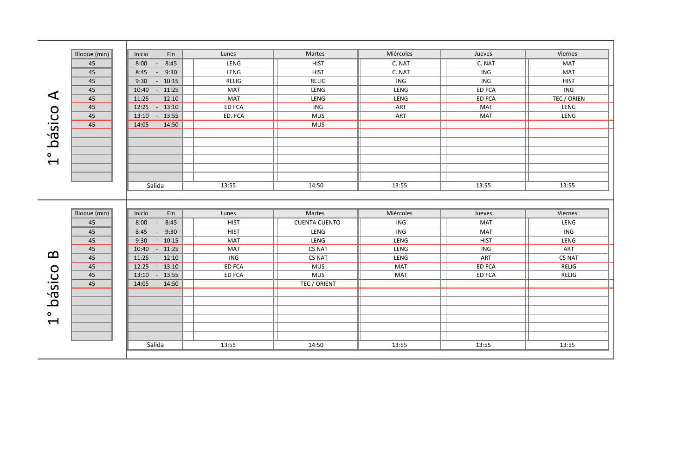|                          | Bloque (min) | Inicio<br>Fin              | Lunes         | Martes               | Miércoles  | Jueves        | Viernes       |
|--------------------------|--------------|----------------------------|---------------|----------------------|------------|---------------|---------------|
|                          | 45           | 8:00<br>8:45<br>$\sim 100$ | LENG          | <b>HIST</b>          | C. NAT     | C. NAT        | <b>MAT</b>    |
|                          | 45           | 8:45<br>$-9:30$            | LENG          | <b>HIST</b>          | C. NAT     | ING           | MAT           |
|                          | 45           | 9:30<br>$-10:15$           | <b>RELIG</b>  | <b>RELIG</b>         | ING        | ING           | <b>HIST</b>   |
|                          | 45           | 10:40 - 11:25              | <b>MAT</b>    | LENG                 | LENG       | <b>ED FCA</b> | ING           |
| ◁                        | 45           | $11:25 - 12:10$            | <b>MAT</b>    | LENG                 | LENG       | <b>ED FCA</b> | TEC / ORIEN   |
|                          | 45           | 12:25 - 13:10              | <b>ED FCA</b> | ING                  | ART        | <b>MAT</b>    | LENG          |
| básico                   | 45           | 13:10 - 13:55              | ED. FCA       | <b>MUS</b>           | ART        | <b>MAT</b>    | LENG          |
|                          | 45           | 14:05 - 14:50              |               | <b>MUS</b>           |            |               |               |
|                          |              |                            |               |                      |            |               |               |
|                          |              |                            |               |                      |            |               |               |
| $\bullet$                |              |                            |               |                      |            |               |               |
| $\overline{\phantom{0}}$ |              |                            |               |                      |            |               |               |
|                          |              |                            |               |                      |            |               |               |
|                          |              |                            |               |                      |            |               |               |
|                          |              | Salida                     | 13:55         | 14:50                | 13:55      | 13:55         | 13:55         |
|                          |              |                            |               |                      |            |               |               |
|                          |              |                            |               |                      |            |               |               |
|                          | Bloque (min) | Inicio<br>Fin              | Lunes         | Martes               | Miércoles  | Jueves        | Viernes       |
|                          | 45           | $8:00 - 8:45$              | <b>HIST</b>   | <b>CUENTA CUENTO</b> | ING        | <b>MAT</b>    | LENG          |
|                          | 45           | $-9:30$<br>8:45            | <b>HIST</b>   | LENG                 | ING        | <b>MAT</b>    | ING           |
|                          | 45           | $-10:15$<br>9:30           | MAT           | LENG                 | LENG       | <b>HIST</b>   | LENG          |
|                          | 45           | 10:40 - 11:25              | MAT           | CS NAT               | LENG       | ING           | ART           |
| മ                        | 45           | $11:25 - 12:10$            | ING           | <b>CS NAT</b>        | LENG       | ART           | <b>CS NAT</b> |
|                          |              |                            |               |                      |            |               |               |
|                          | 45           | 12:25 - 13:10              | ED FCA        | <b>MUS</b>           | <b>MAT</b> | <b>ED FCA</b> | <b>RELIG</b>  |
|                          | 45           | 13:10 - 13:55              | <b>ED FCA</b> | <b>MUS</b>           | <b>MAT</b> | ED FCA        | <b>RELIG</b>  |
|                          | 45           | 14:05 - 14:50              |               | TEC / ORIENT         |            |               |               |
|                          |              |                            |               |                      |            |               |               |
| básico                   |              |                            |               |                      |            |               |               |
|                          |              |                            |               |                      |            |               |               |
| ۰                        |              |                            |               |                      |            |               |               |
| $\blacktriangleleft$     |              |                            |               |                      |            |               |               |
|                          |              |                            |               |                      |            |               |               |
|                          |              | Salida                     | 13:55         | 14:50                | 13:55      | 13:55         | 13:55         |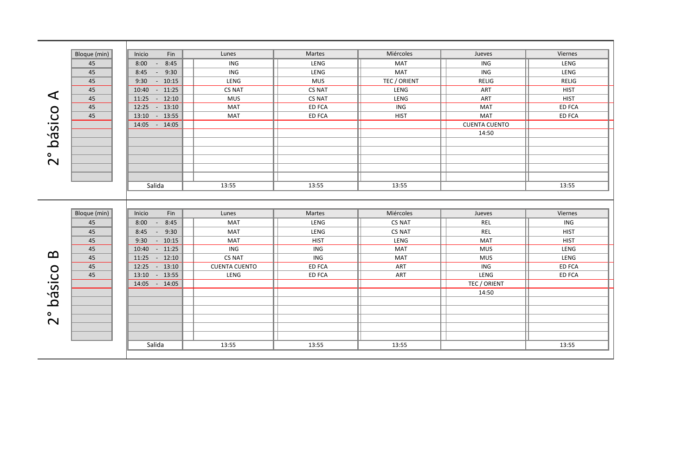|                       | Bloque (min) | Inicio<br>Fin              | Lunes                | Martes        | Miércoles     | Jueves               | Viernes       |  |
|-----------------------|--------------|----------------------------|----------------------|---------------|---------------|----------------------|---------------|--|
|                       | 45           | 8:45<br>8:00<br>$\sim$ $-$ | ING                  | LENG          | <b>MAT</b>    | ING                  | LENG          |  |
|                       | 45           | 8:45<br>$-9:30$            | ING                  | LENG          | MAT           | ING                  | LENG          |  |
|                       | 45           | $-10:15$<br>9:30           | LENG                 | <b>MUS</b>    | TEC / ORIENT  | <b>RELIG</b>         | <b>RELIG</b>  |  |
|                       | 45           | 10:40 - 11:25              | <b>CS NAT</b>        | <b>CS NAT</b> | LENG          | ART                  | <b>HIST</b>   |  |
| ◁                     | 45           | $11:25 - 12:10$            | <b>MUS</b>           | <b>CS NAT</b> | LENG          | ART                  | <b>HIST</b>   |  |
|                       | 45           | 12:25 - 13:10              | MAT                  | ED FCA        | ING           | <b>MAT</b>           | <b>ED FCA</b> |  |
| básico                | 45           | 13:10 - 13:55              | <b>MAT</b>           | <b>ED FCA</b> | <b>HIST</b>   | <b>MAT</b>           | <b>ED FCA</b> |  |
|                       |              | 14:05 - 14:05              |                      |               |               | <b>CUENTA CUENTO</b> |               |  |
|                       |              |                            |                      |               |               | 14:50                |               |  |
|                       |              |                            |                      |               |               |                      |               |  |
| ۰                     |              |                            |                      |               |               |                      |               |  |
| $\mathbf{\Omega}$     |              |                            |                      |               |               |                      |               |  |
|                       |              |                            |                      |               |               |                      |               |  |
|                       |              |                            |                      |               |               |                      |               |  |
|                       |              | Salida                     | 13:55                | 13:55         | 13:55         |                      | 13:55         |  |
|                       |              |                            |                      |               |               |                      |               |  |
|                       |              |                            |                      |               |               |                      |               |  |
|                       | Bloque (min) | Fin<br>Inicio              | Lunes                | Martes        | Miércoles     | Jueves               | Viernes       |  |
|                       | 45           | 8:00<br>$-8:45$            | <b>MAT</b>           | LENG          | <b>CS NAT</b> | REL                  | ING           |  |
|                       | 45           | $-9:30$<br>8:45            | <b>MAT</b>           | LENG          | CS NAT        | REL                  | <b>HIST</b>   |  |
|                       | 45           | $-10:15$<br>9:30           | MAT                  | <b>HIST</b>   | LENG          | <b>MAT</b>           | <b>HIST</b>   |  |
|                       | 45           | 10:40 - 11:25              | ING                  | ING           | <b>MAT</b>    | <b>MUS</b>           | LENG          |  |
| $\boldsymbol{\Omega}$ | 45           | $11:25 - 12:10$            | <b>CS NAT</b>        | ING           | <b>MAT</b>    | <b>MUS</b>           | LENG          |  |
|                       | 45           | 12:25 - 13:10              | <b>CUENTA CUENTO</b> | ED FCA        | ART           | ING                  | ED FCA        |  |
|                       | 45           | 13:10 - 13:55              | LENG                 | <b>ED FCA</b> | ART           | LENG                 | ED FCA        |  |
| básico                |              | 14:05 - 14:05              |                      |               |               | TEC / ORIENT         |               |  |
|                       |              |                            |                      |               |               | 14:50                |               |  |
|                       |              |                            |                      |               |               |                      |               |  |
| $\bullet$             |              |                            |                      |               |               |                      |               |  |
| $\mathbf{\Omega}$     |              |                            |                      |               |               |                      |               |  |
|                       |              |                            |                      |               |               |                      |               |  |
|                       |              |                            |                      |               |               |                      |               |  |
|                       |              |                            |                      | 13:55         | 13:55         |                      | 13:55         |  |
|                       |              | Salida                     | 13:55                |               |               |                      |               |  |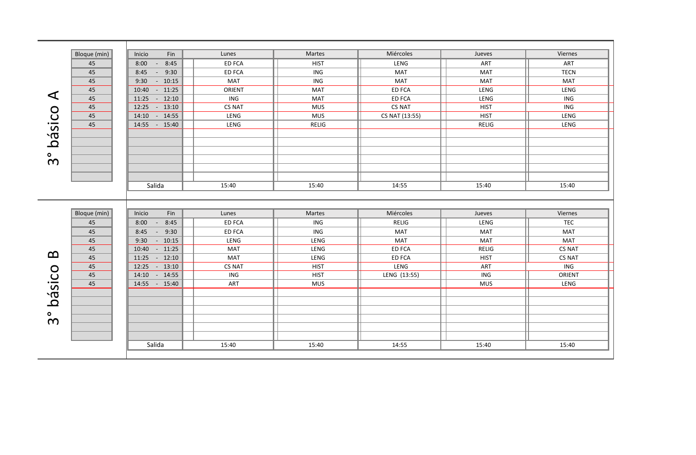|                       | Bloque (min) | Inicio<br>Fin                  | Lunes         | Martes       | Miércoles      | Jueves       | Viernes       |  |
|-----------------------|--------------|--------------------------------|---------------|--------------|----------------|--------------|---------------|--|
|                       | 45           | 8:00<br>8:45<br>$\sim$ $ \sim$ | <b>ED FCA</b> | <b>HIST</b>  | LENG           | <b>ART</b>   | ART           |  |
|                       | 45           | 9:30<br>8:45<br>$\sim$ $-$     | ED FCA        | ING          | MAT            | <b>MAT</b>   | <b>TECN</b>   |  |
|                       | 45           | 9:30<br>$-10:15$               | <b>MAT</b>    | ING          | MAT            | <b>MAT</b>   | <b>MAT</b>    |  |
|                       | 45           | 10:40 - 11:25                  | ORIENT        | MAT          | <b>ED FCA</b>  | LENG         | LENG          |  |
| ◁                     | 45           | 11:25<br>$-12:10$              | ING           | MAT          | <b>ED FCA</b>  | LENG         | ING           |  |
|                       | 45           | 12:25 - 13:10                  | CS NAT        | <b>MUS</b>   | CS NAT         | <b>HIST</b>  | ING           |  |
|                       | 45           | 14:10 - 14:55                  | LENG          | <b>MUS</b>   | CS NAT (13:55) | <b>HIST</b>  | LENG          |  |
| básico                | 45           | 14:55 - 15:40                  | LENG          | <b>RELIG</b> |                | <b>RELIG</b> | LENG          |  |
|                       |              |                                |               |              |                |              |               |  |
|                       |              |                                |               |              |                |              |               |  |
| $\bullet$             |              |                                |               |              |                |              |               |  |
| $\boldsymbol{\infty}$ |              |                                |               |              |                |              |               |  |
|                       |              |                                |               |              |                |              |               |  |
|                       |              |                                |               |              |                |              |               |  |
|                       |              | Salida                         | 15:40         | 15:40        | 14:55          | 15:40        | 15:40         |  |
|                       |              |                                |               |              |                |              |               |  |
|                       |              |                                |               |              |                |              |               |  |
|                       | Bloque (min) | Fin<br>Inicio                  | Lunes         | Martes       | Miércoles      | Jueves       | Viernes       |  |
|                       | 45           | 8:00<br>8:45<br>$\sim$ $ \sim$ | <b>ED FCA</b> | ING          | RELIG          | LENG         | <b>TEC</b>    |  |
|                       | 45           | 8:45<br>$-9:30$                | <b>ED FCA</b> | ING          | MAT            | <b>MAT</b>   | <b>MAT</b>    |  |
|                       | 45           | $-10:15$<br>9:30               | LENG          | LENG         | <b>MAT</b>     | <b>MAT</b>   | <b>MAT</b>    |  |
|                       | 45           | 10:40 - 11:25                  | <b>MAT</b>    | LENG         | <b>ED FCA</b>  | <b>RELIG</b> | <b>CS NAT</b> |  |
| $\boldsymbol{\Omega}$ | 45           | 11:25<br>$-12:10$              | <b>MAT</b>    | LENG         | ED FCA         | <b>HIST</b>  | <b>CS NAT</b> |  |
|                       | 45           | 12:25 - 13:10                  | <b>CS NAT</b> | <b>HIST</b>  | LENG           | ART          | ING           |  |
|                       | 45           | 14:10 - 14:55                  | ING           | <b>HIST</b>  | LENG (13:55)   | ING          | ORIENT        |  |
| básico                | 45           | 14:55 - 15:40                  | ART           | <b>MUS</b>   |                | <b>MUS</b>   | LENG          |  |
|                       |              |                                |               |              |                |              |               |  |
|                       |              |                                |               |              |                |              |               |  |
| $\bullet$             |              |                                |               |              |                |              |               |  |
|                       |              |                                |               |              |                |              |               |  |
|                       |              |                                |               |              |                |              |               |  |
| $\boldsymbol{\infty}$ |              |                                |               |              |                |              |               |  |
|                       |              |                                |               |              |                |              |               |  |
|                       |              | Salida                         | 15:40         | 15:40        | 14:55          | 15:40        | 15:40         |  |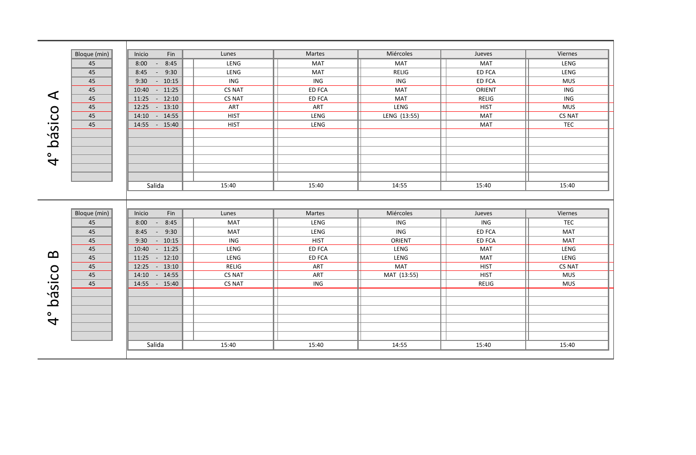|               | Bloque (min) | Inicio<br>Fin                  | Lunes         | Martes        | Miércoles    | Jueves        | Viernes    |  |
|---------------|--------------|--------------------------------|---------------|---------------|--------------|---------------|------------|--|
|               | 45           | 8:45<br>8:00<br>$\sim$ $ \sim$ | LENG          | MAT           | <b>MAT</b>   | <b>MAT</b>    | LENG       |  |
|               | 45           | 9:30<br>8:45<br>$\sim$ $-$     | LENG          | MAT           | RELIG        | <b>ED FCA</b> | LENG       |  |
|               | 45           | $-10:15$<br>9:30               | ING           | ING           | ING          | <b>ED FCA</b> | <b>MUS</b> |  |
|               | 45           | $10:40 - 11:25$                | <b>CS NAT</b> | <b>ED FCA</b> | <b>MAT</b>   | ORIENT        | ING        |  |
| ◁             | 45           | $11:25 - 12:10$                | <b>CS NAT</b> | <b>ED FCA</b> | <b>MAT</b>   | RELIG         | ING        |  |
|               | $45\,$       | 12:25 - 13:10                  | ART           | ART           | LENG         | <b>HIST</b>   | <b>MUS</b> |  |
|               | 45           | $14:10 - 14:55$                | <b>HIST</b>   | LENG          | LENG (13:55) | <b>MAT</b>    | CS NAT     |  |
| básico        | 45           | 14:55 - 15:40                  | <b>HIST</b>   | LENG          |              | <b>MAT</b>    | <b>TEC</b> |  |
|               |              |                                |               |               |              |               |            |  |
|               |              |                                |               |               |              |               |            |  |
|               |              |                                |               |               |              |               |            |  |
| $\frac{1}{4}$ |              |                                |               |               |              |               |            |  |
|               |              |                                |               |               |              |               |            |  |
|               |              |                                |               |               |              |               |            |  |
|               |              | Salida                         | 15:40         | 15:40         | 14:55        | 15:40         | 15:40      |  |
|               |              |                                |               |               |              |               |            |  |
|               |              |                                |               |               |              |               |            |  |
|               | Bloque (min) | Inicio<br>Fin                  | Lunes         | Martes        | Miércoles    | Jueves        | Viernes    |  |
|               |              |                                |               |               |              |               |            |  |
|               | 45           | 8:45<br>8:00<br>●              | <b>MAT</b>    | <b>LENG</b>   | ING          | ING           | <b>TEC</b> |  |
|               | 45           | 8:45<br>$-9:30$                | MAT           | LENG          | ING          | <b>ED FCA</b> | MAT        |  |
|               | 45           | $-10:15$<br>9:30               | ING           | <b>HIST</b>   | ORIENT       | <b>ED FCA</b> | <b>MAT</b> |  |
|               | 45           | 10:40 - 11:25                  | LENG          | <b>ED FCA</b> | LENG         | <b>MAT</b>    | LENG       |  |
| മ             | 45           | $11:25 - 12:10$                | LENG          | ED FCA        | LENG         | <b>MAT</b>    | LENG       |  |
|               | 45           | 12:25 - 13:10                  | RELIG         | ART           | MAT          | <b>HIST</b>   | CS NAT     |  |
|               | 45           | 14:10 - 14:55                  | CS NAT        | ART           | MAT (13:55)  | <b>HIST</b>   | <b>MUS</b> |  |
|               | 45           | 14:55 - 15:40                  | <b>CS NAT</b> | ING           |              | <b>RELIG</b>  | <b>MUS</b> |  |
|               |              |                                |               |               |              |               |            |  |
| básico        |              |                                |               |               |              |               |            |  |
|               |              |                                |               |               |              |               |            |  |
|               |              |                                |               |               |              |               |            |  |
| $\frac{1}{4}$ |              |                                |               |               |              |               |            |  |
|               |              |                                |               |               |              |               |            |  |
|               |              | Salida                         | 15:40         | 15:40         | 14:55        | 15:40         | 15:40      |  |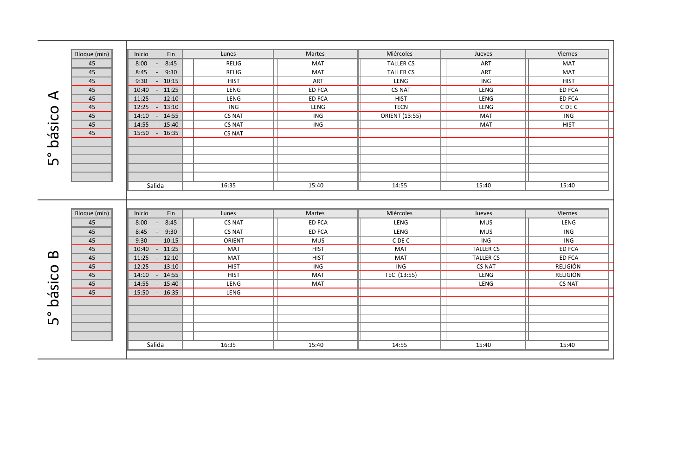|                       | Bloque (min) | Inicio<br>Fin              | Lunes                   | Martes        | Miércoles        | Jueves           | Viernes       |  |
|-----------------------|--------------|----------------------------|-------------------------|---------------|------------------|------------------|---------------|--|
|                       | 45           | 8:45<br>8:00<br>$\sim$     | <b>RELIG</b>            | <b>MAT</b>    | <b>TALLER CS</b> | <b>ART</b>       | <b>MAT</b>    |  |
|                       | 45           | 9:30<br>8:45<br>$\sim$ $-$ | <b>RELIG</b>            | MAT           | <b>TALLER CS</b> | ART              | MAT           |  |
|                       | 45           | 9:30<br>$-10:15$           | <b>HIST</b>             | ART           | LENG             | <b>ING</b>       | <b>HIST</b>   |  |
|                       | 45           | 10:40 - 11:25              | LENG                    | <b>ED FCA</b> | <b>CS NAT</b>    | LENG             | <b>ED FCA</b> |  |
| ◁                     | 45           | 11:25<br>$-12:10$          | LENG                    | <b>ED FCA</b> | <b>HIST</b>      | LENG             | ED FCA        |  |
|                       | 45           | 12:25<br>$-13:10$          | $\overline{\text{ING}}$ | LENG          | <b>TECN</b>      | LENG             | C DE C        |  |
|                       | 45           | 14:10 - 14:55              | <b>CS NAT</b>           | ING           | ORIENT (13:55)   | <b>MAT</b>       | ING           |  |
|                       | 45           | 14:55 - 15:40              | <b>CS NAT</b>           | ING           |                  | <b>MAT</b>       | <b>HIST</b>   |  |
|                       | 45           | 15:50 - 16:35              | <b>CS NAT</b>           |               |                  |                  |               |  |
| básico                |              |                            |                         |               |                  |                  |               |  |
|                       |              |                            |                         |               |                  |                  |               |  |
| 。<br>LC               |              |                            |                         |               |                  |                  |               |  |
|                       |              |                            |                         |               |                  |                  |               |  |
|                       |              |                            |                         |               |                  |                  |               |  |
|                       |              | Salida                     | 16:35                   | 15:40         | 14:55            | 15:40            | 15:40         |  |
|                       |              |                            |                         |               |                  |                  |               |  |
|                       |              |                            |                         |               |                  |                  |               |  |
|                       | Bloque (min) | Fin<br>Inicio              | Lunes                   | Martes        | Miércoles        | Jueves           | Viernes       |  |
|                       | 45           | 8:00<br>8:45<br>$\sim$ $-$ | <b>CS NAT</b>           | <b>ED FCA</b> | LENG             | <b>MUS</b>       | LENG          |  |
|                       | 45           | 8:45<br>$-9:30$            | <b>CS NAT</b>           | <b>ED FCA</b> | LENG             | <b>MUS</b>       | ING           |  |
|                       | 45           | $-10:15$<br>9:30           | ORIENT                  | <b>MUS</b>    | C DE C           | ING              | ING           |  |
|                       | 45           | 10:40 - 11:25              | <b>MAT</b>              | <b>HIST</b>   | MAT              | <b>TALLER CS</b> | ED FCA        |  |
| $\boldsymbol{\Omega}$ | 45           | 11:25<br>$-12:10$          | <b>MAT</b>              | <b>HIST</b>   | <b>MAT</b>       | <b>TALLER CS</b> | ED FCA        |  |
|                       | 45           | 12:25<br>$-13:10$          | <b>HIST</b>             | ING           | ING              | <b>CS NAT</b>    | RELIGIÓN      |  |
|                       | 45           | 14:10 - 14:55              | <b>HIST</b>             | <b>MAT</b>    | TEC (13:55)      | LENG             | RELIGIÓN      |  |
|                       | 45           | 14:55<br>$-15:40$          | LENG                    | <b>MAT</b>    |                  | LENG             | <b>CS NAT</b> |  |
| básico                | 45           | 15:50 - 16:35              | LENG                    |               |                  |                  |               |  |
|                       |              |                            |                         |               |                  |                  |               |  |
|                       |              |                            |                         |               |                  |                  |               |  |
| 。<br>LC               |              |                            |                         |               |                  |                  |               |  |
|                       |              |                            |                         |               |                  |                  |               |  |
|                       |              |                            |                         |               |                  |                  |               |  |
|                       |              | Salida                     | 16:35                   | 15:40         | 14:55            | 15:40            | 15:40         |  |
|                       |              |                            |                         |               |                  |                  |               |  |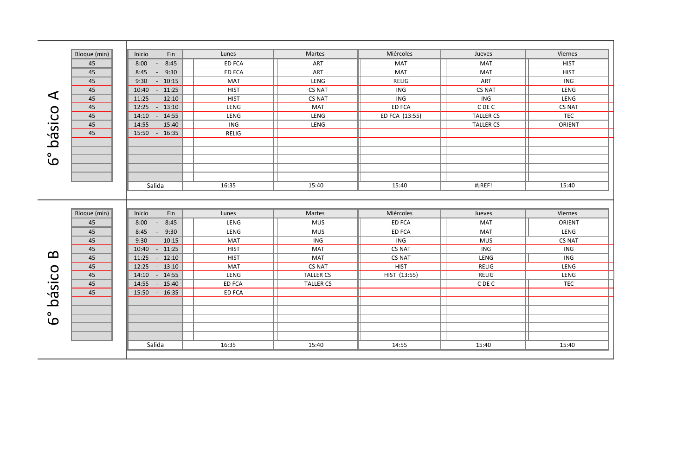|                | Bloque (min) | Fin<br>Inicio              | Lunes         | Martes           | Miércoles      | Jueves           | Viernes       |  |
|----------------|--------------|----------------------------|---------------|------------------|----------------|------------------|---------------|--|
|                | 45           | 8:45<br>8:00<br>$\bullet$  | <b>ED FCA</b> | ART              | <b>MAT</b>     | <b>MAT</b>       | <b>HIST</b>   |  |
|                | 45           | 8:45<br>9:30<br>$\sim$ $-$ | <b>ED FCA</b> | ART              | <b>MAT</b>     | <b>MAT</b>       | <b>HIST</b>   |  |
|                | 45           | 9:30<br>$-10:15$           | MAT           | LENG             | <b>RELIG</b>   | ART              | ING           |  |
|                | 45           | $10:40 - 11:25$            | <b>HIST</b>   | <b>CS NAT</b>    | ING            | CS NAT           | LENG          |  |
| ◁              | 45           | $11:25 - 12:10$            | <b>HIST</b>   | <b>CS NAT</b>    | ING            | ING              | LENG          |  |
|                | 45           | 12:25 - 13:10              | LENG          | <b>MAT</b>       | <b>ED FCA</b>  | C DE C           | <b>CS NAT</b> |  |
|                | 45           | 14:10 - 14:55              | LENG          | LENG             | ED FCA (13:55) | <b>TALLER CS</b> | <b>TEC</b>    |  |
|                | $45\,$       | 14:55 - 15:40              | ING           | LENG             |                | <b>TALLER CS</b> | ORIENT        |  |
|                | 45           | 15:50 - 16:35              | <b>RELIG</b>  |                  |                |                  |               |  |
| básico         |              |                            |               |                  |                |                  |               |  |
|                |              |                            |               |                  |                |                  |               |  |
| စိ             |              |                            |               |                  |                |                  |               |  |
|                |              |                            |               |                  |                |                  |               |  |
|                |              |                            |               |                  |                |                  |               |  |
|                |              | Salida                     | 16:35         | 15:40            | 15:40          | #iREF!           | 15:40         |  |
|                |              |                            |               |                  |                |                  |               |  |
|                |              |                            |               |                  |                |                  |               |  |
|                | Bloque (min) | Fin<br>Inicio              | Lunes         | Martes           | Miércoles      | Jueves           | Viernes       |  |
|                | 45           | 8:00<br>$-8:45$            | LENG          | <b>MUS</b>       | <b>ED FCA</b>  | <b>MAT</b>       | ORIENT        |  |
|                | 45           | 8:45<br>$-9:30$            | LENG          | <b>MUS</b>       | <b>ED FCA</b>  | <b>MAT</b>       | LENG          |  |
|                | 45           | 9:30<br>$-10:15$           | MAT           | ING              | ING            | <b>MUS</b>       | <b>CS NAT</b> |  |
|                | 45           | 10:40 - 11:25              | <b>HIST</b>   | <b>MAT</b>       | <b>CS NAT</b>  | ING              | ING           |  |
| മ              | 45           | $11:25 - 12:10$            | <b>HIST</b>   | MAT              | <b>CS NAT</b>  | LENG             | ING           |  |
|                | 45           | 12:25 - 13:10              | MAT           | <b>CS NAT</b>    | <b>HIST</b>    | <b>RELIG</b>     | LENG          |  |
|                | 45           | 14:10 - 14:55              | LENG          | <b>TALLER CS</b> | HIST (13:55)   | <b>RELIG</b>     | LENG          |  |
|                | 45           | 14:55 - 15:40              | ED FCA        | <b>TALLER CS</b> |                | C DE C           | <b>TEC</b>    |  |
|                | 45           | 15:50 - 16:35              | <b>ED FCA</b> |                  |                |                  |               |  |
|                |              |                            |               |                  |                |                  |               |  |
| básico         |              |                            |               |                  |                |                  |               |  |
|                |              |                            |               |                  |                |                  |               |  |
| $\bullet$<br>ယ |              |                            |               |                  |                |                  |               |  |
|                |              |                            |               |                  |                |                  |               |  |
|                |              |                            |               |                  |                |                  |               |  |
|                |              | Salida                     | 16:35         | 15:40            | 14:55          | 15:40            | 15:40         |  |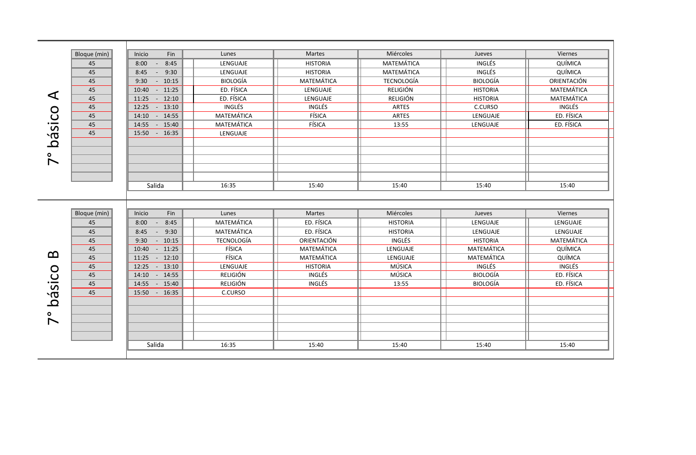|                          | Bloque (min) | Fin<br>Inicio              | Lunes             | <b>Martes</b>   | Miércoles         | Jueves          | Viernes           |
|--------------------------|--------------|----------------------------|-------------------|-----------------|-------------------|-----------------|-------------------|
|                          | 45           | 8:45<br>8:00<br>$\sim$     | LENGUAJE          | <b>HISTORIA</b> | MATEMÁTICA        | INGLÉS          | QUÍMICA           |
|                          | 45           | 8:45<br>9:30<br>$\sim$     | LENGUAJE          | <b>HISTORIA</b> | MATEMÁTICA        | INGLÉS          | QUÍMICA           |
|                          | 45           | 9:30<br>$-10:15$           | <b>BIOLOGÍA</b>   | MATEMÁTICA      | <b>TECNOLOGÍA</b> | <b>BIOLOGÍA</b> | ORIENTACIÓN       |
|                          | 45           | $10:40 - 11:25$            | ED. FÍSICA        | LENGUAJE        | <b>RELIGIÓN</b>   | <b>HISTORIA</b> | <b>MATEMÁTICA</b> |
| ◁                        | 45           | $-12:10$<br>11:25          | ED. FÍSICA        | LENGUAJE        | RELIGIÓN          | <b>HISTORIA</b> | <b>MATEMÁTICA</b> |
|                          | 45           | 12:25 - 13:10              | INGLÉS            | INGLÉS          | ARTES             | C.CURSO         | INGLÉS            |
|                          | 45           | 14:10 - 14:55              | MATEMÁTICA        | FÍSICA          | ARTES             | LENGUAJE        | ED. FÍSICA        |
|                          | 45           | 14:55 - 15:40              | MATEMÁTICA        | FÍSICA          | 13:55             | LENGUAJE        | ED. FÍSICA        |
|                          | 45           | 15:50 - 16:35              | LENGUAJE          |                 |                   |                 |                   |
| básico                   |              |                            |                   |                 |                   |                 |                   |
|                          |              |                            |                   |                 |                   |                 |                   |
| $\overline{\phantom{0}}$ |              |                            |                   |                 |                   |                 |                   |
|                          |              |                            |                   |                 |                   |                 |                   |
|                          |              |                            |                   |                 |                   |                 |                   |
|                          |              | Salida                     | 16:35             | 15:40           | 15:40             | 15:40           | 15:40             |
|                          |              |                            |                   |                 |                   |                 |                   |
|                          |              |                            |                   |                 |                   |                 |                   |
|                          | Bloque (min) | Fin<br>Inicio              | Lunes             | Martes          | Miércoles         | Jueves          | Viernes           |
|                          | 45           | 8:45<br>8:00<br>$\sim$ $-$ | <b>MATEMÁTICA</b> | ED. FÍSICA      | <b>HISTORIA</b>   | LENGUAJE        | LENGUAJE          |
|                          | 45           | 8:45<br>$-9:30$            | MATEMÁTICA        | ED. FÍSICA      | <b>HISTORIA</b>   | LENGUAJE        | LENGUAJE          |
|                          | 45           | 9:30<br>$-10:15$           | <b>TECNOLOGÍA</b> | ORIENTACIÓN     | INGLÉS            | <b>HISTORIA</b> | MATEMÁTICA        |
|                          | 45           | $10:40 - 11:25$            | FÍSICA            | MATEMÁTICA      | LENGUAJE          | MATEMÁTICA      | QUÍMICA           |
| മ                        | 45           | $-12:10$<br>11:25          | FÍSICA            | MATEMÁTICA      | LENGUAJE          | MATEMÁTICA      | QUÍMCA            |
|                          | 45           | 12:25<br>$-13:10$          | LENGUAJE          | <b>HISTORIA</b> | MÚSICA            | INGLÉS          | INGLÉS            |
|                          | 45           | 14:10 - 14:55              | RELIGIÓN          | INGLÉS          | MÚSICA            | <b>BIOLOGÍA</b> | ED. FÍSICA        |
|                          | 45           | 14:55<br>$-15:40$          | RELIGIÓN          | INGLÉS          | 13:55             | <b>BIOLOGÍA</b> | ED. FÍSICA        |
| básico                   | 45           | 15:50 - 16:35              | C.CURSO           |                 |                   |                 |                   |
|                          |              |                            |                   |                 |                   |                 |                   |
| ۰                        |              |                            |                   |                 |                   |                 |                   |
| $\blacktriangleright$    |              |                            |                   |                 |                   |                 |                   |
|                          |              |                            |                   |                 |                   |                 |                   |
|                          |              |                            |                   |                 |                   |                 |                   |
|                          |              | Salida                     | 16:35             | 15:40           | 15:40             | 15:40           | 15:40             |
|                          |              |                            |                   |                 |                   |                 |                   |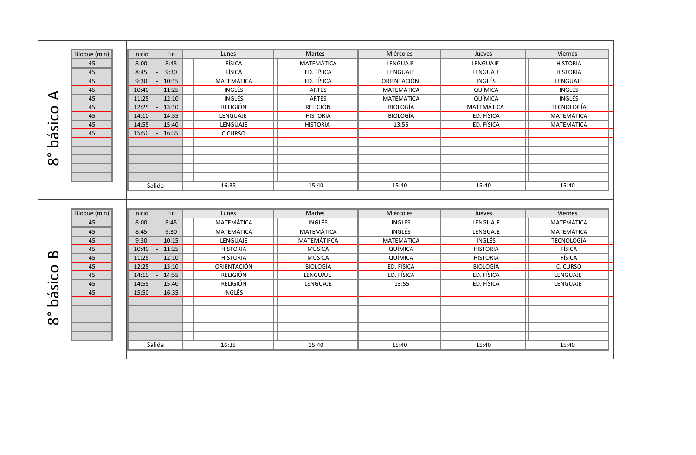|                         | Bloque (min)    | Inicio<br>Fin              | Lunes             | <b>Martes</b>   | Miércoles       | Jueves            | Viernes           |
|-------------------------|-----------------|----------------------------|-------------------|-----------------|-----------------|-------------------|-------------------|
|                         | 45              | 8:45<br>8:00<br>$\sim$     | FÍSICA            | MATEMÁTICA      | LENGUAJE        | LENGUAJE          | <b>HISTORIA</b>   |
|                         | 45              | 9:30<br>8:45<br>$\sim$     | FÍSICA            | ED. FÍSICA      | LENGUAJE        | LENGUAJE          | <b>HISTORIA</b>   |
|                         | 45              | 9:30<br>$-10:15$           | <b>MATEMÁTICA</b> | ED. FÍSICA      | ORIENTACIÓN     | <b>INGLÉS</b>     | LENGUAJE          |
|                         | 45              | 10:40 - 11:25              | INGLÉS            | ARTES           | MATEMÁTICA      | QUÍMICA           | INGLÉS            |
| ◀                       | 45              | 11:25<br>$-12:10$          | INGLÉS            | ARTES           | MATEMÁTICA      | QUÍMICA           | INGLÉS            |
|                         | $\overline{45}$ | $-13:10$<br>12:25          | <b>RELIGIÓN</b>   | <b>RELIGIÓN</b> | <b>BIOLOGÍA</b> | <b>MATEMÁTICA</b> | <b>TECNOLOGÍA</b> |
|                         | 45              | 14:10 - 14:55              | LENGUAJE          | <b>HISTORIA</b> | <b>BIOLOGÍA</b> | ED. FÍSICA        | MATEMÁTICA        |
|                         | 45              | 14:55 - 15:40              | LENGUAJE          | <b>HISTORIA</b> | 13:55           | ED. FÍSICA        | MATEMÁTICA        |
| ásico                   | 45              | 15:50 - 16:35              | C.CURSO           |                 |                 |                   |                   |
| $\bar{\mathbf{\Omega}}$ |                 |                            |                   |                 |                 |                   |                   |
|                         |                 |                            |                   |                 |                 |                   |                   |
| $\infty$                |                 |                            |                   |                 |                 |                   |                   |
|                         |                 |                            |                   |                 |                 |                   |                   |
|                         |                 |                            |                   |                 |                 |                   |                   |
|                         |                 | Salida                     | 16:35             | 15:40           | 15:40           | 15:40             | 15:40             |
|                         |                 |                            |                   |                 |                 |                   |                   |
|                         |                 |                            |                   |                 |                 |                   |                   |
|                         | Bloque (min)    | Fin<br>Inicio              | Lunes             | Martes          | Miércoles       | Jueves            | Viernes           |
|                         | 45              | 8:00<br>8:45<br>$\sim 100$ | MATEMÁTICA        | <b>INGLÉS</b>   | INGLÉS          | LENGUAJE          | MATEMÁTICA        |
|                         | 45              | $-9:30$<br>8:45            | MATEMÁTICA        | MATEMÁTICA      | INGLÉS          | LENGUAJE          | MATEMÁTICA        |
|                         | 45              | 9:30<br>$-10:15$           | LENGUAJE          | MATEMÁTIFCA     | MATEMÁTICA      | INGLÉS            | <b>TECNOLOGÍA</b> |
|                         | 45              | $10:40 - 11:25$            | <b>HISTORIA</b>   | MÚSICA          | QUÍMICA         | <b>HISTORIA</b>   | FÍSICA            |
| മ                       | 45              | 11:25 - 12:10              | <b>HISTORIA</b>   | MÚSICA          | QUÍMICA         | <b>HISTORIA</b>   | FÍSICA            |
|                         | 45              | 12:25 - 13:10              | ORIENTACIÓN       | <b>BIOLOGÍA</b> | ED. FÍSICA      | <b>BIOLOGÍA</b>   | C. CURSO          |
|                         | 45              | 14:10 - 14:55              | <b>RELIGIÓN</b>   | LENGUAJE        | ED. FÍSICA      | ED. FÍSICA        | LENGUAJE          |
|                         | 45              | 14:55 - 15:40              | <b>RELIGIÓN</b>   | LENGUAJE        | 13:55           | ED. FÍSICA        | LENGUAJE          |
| básico                  | 45              | 15:50 - 16:35              | INGLÉS            |                 |                 |                   |                   |
|                         |                 |                            |                   |                 |                 |                   |                   |
| ۰                       |                 |                            |                   |                 |                 |                   |                   |
| $\infty$                |                 |                            |                   |                 |                 |                   |                   |
|                         |                 |                            |                   |                 |                 |                   |                   |
|                         |                 |                            |                   |                 |                 |                   |                   |
|                         |                 | Salida                     | 16:35             | 15:40           | 15:40           | 15:40             | 15:40             |
|                         |                 |                            |                   |                 |                 |                   |                   |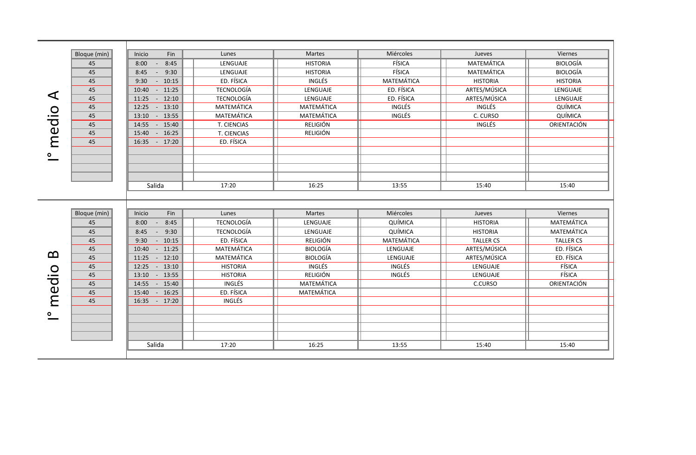|       | Bloque (min) | Inicio<br>Fin              | Lunes             | Martes          | Miércoles     | Jueves           | Viernes          |
|-------|--------------|----------------------------|-------------------|-----------------|---------------|------------------|------------------|
|       | 45           | 8:45<br>8:00<br>$\sim$ $-$ | LENGUAJE          | <b>HISTORIA</b> | FÍSICA        | MATEMÁTICA       | <b>BIOLOGÍA</b>  |
|       | 45           | $-9:30$<br>8:45            | LENGUAJE          | <b>HISTORIA</b> | FÍSICA        | MATEMÁTICA       | <b>BIOLOGÍA</b>  |
|       | 45           | 9:30<br>$-10:15$           | ED. FÍSICA        | INGLÉS          | MATEMÁTICA    | <b>HISTORIA</b>  | <b>HISTORIA</b>  |
|       | 45           | 10:40 - 11:25              | TECNOLOGÍA        | LENGUAJE        | ED. FÍSICA    | ARTES/MÚSICA     | LENGUAJE         |
| ◀     | 45           | 11:25 - 12:10              | <b>TECNOLOGÍA</b> | LENGUAJE        | ED. FÍSICA    | ARTES/MÚSICA     | LENGUAJE         |
|       | 45           | 12:25 - 13:10              | MATEMÁTICA        | MATEMÁTICA      | INGLÉS        | INGLÉS           | QUÍMICA          |
|       | 45           | 13:10 - 13:55              | MATEMÁTICA        | MATEMÁTICA      | INGLÉS        | C. CURSO         | QUÍMICA          |
| medio | 45           | 14:55 - 15:40              | T. CIENCIAS       | RELIGIÓN        |               | <b>INGLÉS</b>    | ORIENTACIÓN      |
|       | 45           | 15:40 - 16:25              | T. CIENCIAS       | RELIGIÓN        |               |                  |                  |
|       | 45           | 16:35 - 17:20              | ED. FÍSICA        |                 |               |                  |                  |
|       |              |                            |                   |                 |               |                  |                  |
|       |              |                            |                   |                 |               |                  |                  |
|       |              |                            |                   |                 |               |                  |                  |
|       |              |                            |                   |                 |               |                  |                  |
|       |              | Salida                     | 17:20             | 16:25           | 13:55         | 15:40            | 15:40            |
|       |              |                            |                   |                 |               |                  |                  |
|       |              |                            |                   |                 |               |                  |                  |
|       | Bloque (min) | Fin<br>Inicio              | Lunes             | Martes          | Miércoles     | Jueves           | Viernes          |
|       | 45           | 8:45<br>8:00<br>$\sim$ $-$ | TECNOLOGÍA        | LENGUAJE        | QUÍMICA       | <b>HISTORIA</b>  | MATEMÁTICA       |
|       | 45           | 9:30<br>8:45<br>$\sim 100$ | TECNOLOGÍA        | LENGUAJE        | QUÍMICA       | <b>HISTORIA</b>  | MATEMÁTICA       |
|       | 45           | $-10:15$<br>9:30           | ED. FÍSICA        | RELIGIÓN        | MATEMÁTICA    | <b>TALLER CS</b> | <b>TALLER CS</b> |
|       | 45           | 10:40 - 11:25              | MATEMÁTICA        | <b>BIOLOGÍA</b> | LENGUAJE      | ARTES/MÚSICA     | ED. FÍSICA       |
| മ     | 45           | 11:25 - 12:10              | MATEMÁTICA        | <b>BIOLOGÍA</b> | LENGUAJE      | ARTES/MÚSICA     | ED. FÍSICA       |
|       |              |                            |                   |                 |               |                  |                  |
|       | 45           | 12:25 - 13:10              | <b>HISTORIA</b>   | INGLÉS          | <b>INGLÉS</b> | LENGUAJE         | FÍSICA           |
|       | 45           | 13:10 - 13:55              | <b>HISTORIA</b>   | RELIGIÓN        | INGLÉS        | LENGUAJE         | FÍSICA           |
|       | 45           | 14:55 - 15:40              | INGLÉS            | MATEMÁTICA      |               | C.CURSO          | ORIENTACIÓN      |
| edio  | 45           | 15:40 - 16:25              | ED. FÍSICA        | MATEMÁTICA      |               |                  |                  |
| E     | 45           | 16:35 - 17:20              | INGLÉS            |                 |               |                  |                  |
|       |              |                            |                   |                 |               |                  |                  |
|       |              |                            |                   |                 |               |                  |                  |
|       |              |                            |                   |                 |               |                  |                  |
|       |              |                            |                   |                 |               |                  |                  |
|       |              | Salida                     | 17:20             | 16:25           | 13:55         | 15:40            | 15:40            |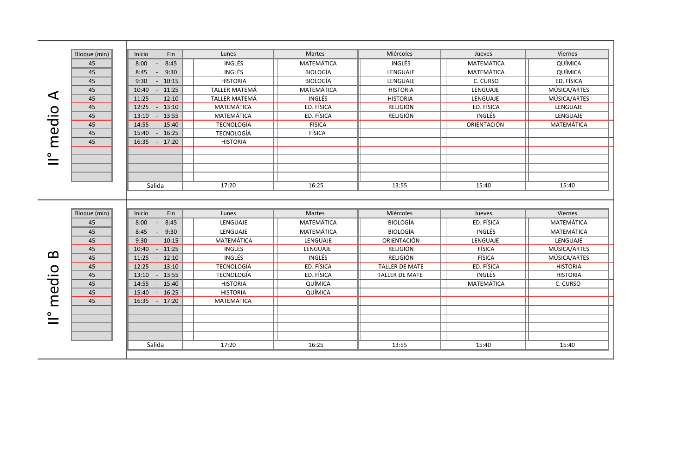|       | Bloque (min) | Inicio<br>Fin              | Lunes                | <b>Martes</b>   | Miércoles             | Jueves      | Viernes         |  |
|-------|--------------|----------------------------|----------------------|-----------------|-----------------------|-------------|-----------------|--|
|       | 45           | 8:45<br>8:00<br>$\sim$ $-$ | <b>INGLÉS</b>        | MATEMÁTICA      | INGLÉS                | MATEMÁTICA  | QUÍMICA         |  |
|       | 45           | 9:30<br>8:45<br>$\sim$     | INGLÉS               | <b>BIOLOGÍA</b> | LENGUAJE              | MATEMÁTICA  | QUÍMICA         |  |
|       | 45           | 9:30<br>$-10:15$           | <b>HISTORIA</b>      | <b>BIOLOGÍA</b> | LENGUAJE              | C. CURSO    | ED. FÍSICA      |  |
|       | 45           | 10:40<br>$-11:25$          | <b>TALLER MATEMÁ</b> | MATEMÁTICA      | <b>HISTORIA</b>       | LENGUAJE    | MÚSICA/ARTES    |  |
| ⋖     | 45           | 11:25<br>$-12:10$          | TALLER MATEMÁ        | INGLÉS          | <b>HISTORIA</b>       | LENGUAJE    | MÚSICA/ARTES    |  |
|       | 45           | $-13:10$<br>12:25          | MATEMÁTICA           | ED. FÍSICA      | RELIGIÓN              | ED. FÍSICA  | LENGUAJE        |  |
| medio | 45           | 13:10<br>$-13:55$          | MATEMÁTICA           | ED. FÍSICA      | <b>RELIGIÓN</b>       | INGLÉS      | LENGUAJE        |  |
|       | 45           | 14:55<br>$-15:40$          | <b>TECNOLOGÍA</b>    | FÍSICA          |                       | ORIENTACIÓN | MATEMÁTICA      |  |
|       | 45           | 15:40<br>$-16:25$          | <b>TECNOLOGÍA</b>    | FÍSICA          |                       |             |                 |  |
|       | 45           | 16:35 - 17:20              | <b>HISTORIA</b>      |                 |                       |             |                 |  |
|       |              |                            |                      |                 |                       |             |                 |  |
|       |              |                            |                      |                 |                       |             |                 |  |
|       |              |                            |                      |                 |                       |             |                 |  |
|       |              |                            |                      |                 |                       |             |                 |  |
|       |              | Salida                     | 17:20                | 16:25           | 13:55                 | 15:40       | 15:40           |  |
|       |              |                            |                      |                 |                       |             |                 |  |
|       |              |                            |                      |                 |                       |             |                 |  |
|       | Bloque (min) | Fin<br>Inicio              | Lunes                | Martes          | Miércoles             | Jueves      | Viernes         |  |
|       | 45           | 8:00<br>8:45<br>$\sim$     | LENGUAJE             | MATEMÁTICA      | <b>BIOLOGÍA</b>       | ED. FÍSICA  | MATEMÁTICA      |  |
|       | 45           | 8:45<br>9:30<br>$\sim$ $-$ | LENGUAJE             | MATEMÁTICA      | <b>BIOLOGÍA</b>       | INGLÉS      | MATEMÁTICA      |  |
|       | 45           | 9:30<br>$-10:15$           | MATEMÁTICA           | LENGUAJE        | ORIENTACIÓN           | LENGUAJE    | LENGUAJE        |  |
| മ     | 45           | 10:40<br>$-11:25$          | INGLÉS               | LENGUAJE        | RELIGIÓN              | FÍSICA      | MÚSICA/ARTES    |  |
|       | 45           | 11:25<br>$-12:10$          | <b>INGLÉS</b>        | INGLÉS          | <b>RELIGIÓN</b>       | FÍSICA      | MÚSICA/ARTES    |  |
|       | 45           | $-13:10$<br>12:25          | <b>TECNOLOGÍA</b>    | ED. FÍSICA      | TALLER DE MATE        | ED. FÍSICA  | <b>HISTORIA</b> |  |
| medio | 45           | 13:10<br>$-13:55$          | <b>TECNOLOGÍA</b>    | ED. FÍSICA      | <b>TALLER DE MATE</b> | INGLÉS      | <b>HISTORIA</b> |  |
|       | 45           | 14:55<br>$-15:40$          | <b>HISTORIA</b>      | QUÍMICA         |                       | MATEMÁTICA  | C. CURSO        |  |
|       | 45           | 15:40<br>$-16:25$          | <b>HISTORIA</b>      | QUÍMICA         |                       |             |                 |  |
|       | 45           | $-17:20$<br>16:35          | MATEMÁTICA           |                 |                       |             |                 |  |
|       |              |                            |                      |                 |                       |             |                 |  |
|       |              |                            |                      |                 |                       |             |                 |  |
|       |              |                            |                      |                 |                       |             |                 |  |
|       |              |                            |                      |                 |                       |             |                 |  |
|       |              | Salida                     | 17:20                | 16:25           | 13:55                 | 15:40       | 15:40           |  |
|       |              |                            |                      |                 |                       |             |                 |  |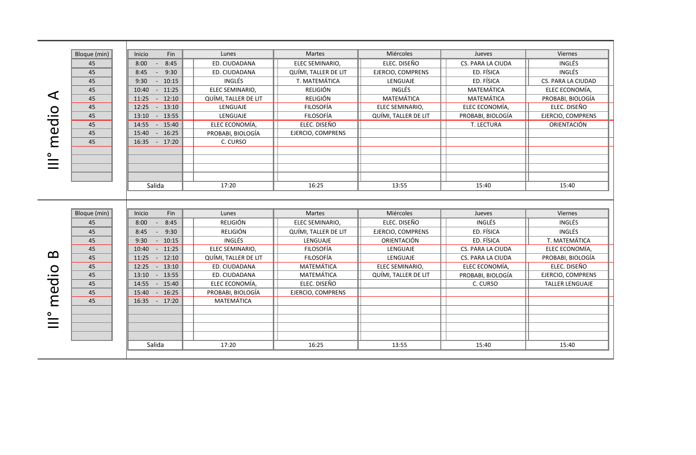|       | Bloque (min) | Inicio<br>Fin                  | Lunes                | <b>Martes</b>        | Miércoles            | Jueves            | Viernes                |
|-------|--------------|--------------------------------|----------------------|----------------------|----------------------|-------------------|------------------------|
|       | 45           | 8:00<br>8:45<br>$\sim$         | ED. CIUDADANA        | ELEC SEMINARIO,      | ELEC. DISEÑO         | CS. PARA LA CIUDA | INGLÉS                 |
|       | 45           | 9:30<br>8:45<br>$\sim$         | ED. CIUDADANA        | QUÍMI, TALLER DE LIT | EJERCIO, COMPRENS    | ED. FÍSICA        | INGLÉS                 |
|       | 45           | $-10:15$<br>9:30               | INGLÉS               | T. MATEMÁTICA        | LENGUAJE             | ED. FÍSICA        | CS. PARA LA CIUDAD     |
|       | 45           | $10:40 - 11:25$                | ELEC SEMINARIO,      | <b>RELIGIÓN</b>      | INGLÉS               | MATEMÁTICA        | ELEC ECONOMÍA,         |
| ◁     | 45           | 11:25 - 12:10                  | QUÍMI, TALLER DE LIT | <b>RELIGIÓN</b>      | MATEMÁTICA           | MATEMÁTICA        | PROBABI, BIOLOGÍA      |
|       | 45           | 12:25 - 13:10                  | LENGUAJE             | FILOSOFÍA            | ELEC SEMINARIO,      | ELEC ECONOMÍA,    | ELEC. DISEÑO           |
|       | 45           | $13:10 - 13:55$                | LENGUAJE             | <b>FILOSOFÍA</b>     | QUÍMI, TALLER DE LIT | PROBABI, BIOLOGÍA | EJERCIO, COMPRENS      |
| medio | 45           | 14:55 - 15:40                  | ELEC ECONOMÍA,       | ELEC. DISEÑO         |                      | T. LECTURA        | ORIENTACIÓN            |
|       | 45           | 15:40 - 16:25                  | PROBABI, BIOLOGÍA    | EJERCIO, COMPRENS    |                      |                   |                        |
|       | 45           | 16:35 - 17:20                  | C. CURSO             |                      |                      |                   |                        |
|       |              |                                |                      |                      |                      |                   |                        |
|       |              |                                |                      |                      |                      |                   |                        |
|       |              |                                |                      |                      |                      |                   |                        |
|       |              |                                |                      |                      |                      |                   |                        |
|       |              | Salida                         | 17:20                | 16:25                | 13:55                | 15:40             | 15:40                  |
|       |              |                                |                      |                      |                      |                   |                        |
|       |              |                                |                      |                      |                      |                   |                        |
|       |              |                                |                      |                      |                      |                   |                        |
|       | Bloque (min) | Fin<br>Inicio                  | Lunes                | Martes               | Miércoles            | Jueves            | Viernes                |
|       | 45           | 8:45<br>8:00<br>$\sim$ $ \sim$ | <b>RELIGIÓN</b>      | ELEC SEMINARIO,      | ELEC. DISEÑO         | <b>INGLÉS</b>     | INGLÉS                 |
|       | 45           | 9:30<br>8:45<br>$\sim$         | <b>RELIGIÓN</b>      | QUÍMI, TALLER DE LIT | EJERCIO, COMPRENS    | ED. FÍSICA        | INGLÉS                 |
|       | 45           | $-10:15$<br>9:30               | INGLÉS               | LENGUAJE             | ORIENTACIÓN          | ED. FÍSICA        | T. MATEMÁTICA          |
|       | 45           | 10:40 - 11:25                  | ELEC SEMINARIO,      | <b>FILOSOFÍA</b>     | LENGUAJE             | CS. PARA LA CIUDA | ELEC ECONOMÍA,         |
| മ     | 45           | 11:25<br>$-12:10$              | QUÍMI, TALLER DE LIT | <b>FILOSOFÍA</b>     | LENGUAJE             | CS. PARA LA CIUDA | PROBABI, BIOLOGÍA      |
|       | 45           | 12:25 - 13:10                  | ED. CIUDADANA        | MATEMÁTICA           | ELEC SEMINARIO,      | ELEC ECONOMÍA,    | ELEC. DISEÑO           |
|       | 45           | 13:10<br>$-13:55$              | ED. CIUDADANA        | MATEMÁTICA           | QUÍMI, TALLER DE LIT | PROBABI, BIOLOGÍA | EJERCIO, COMPRENS      |
|       | 45           | 14:55 - 15:40                  | ELEC ECONOMÍA.       | ELEC. DISEÑO         |                      | C. CURSO          | <b>TALLER LENGUAJE</b> |
|       | 45           | 15:40<br>$-16:25$              | PROBABI, BIOLOGÍA    | EJERCIO, COMPRENS    |                      |                   |                        |
| medio | 45           | 16:35 - 17:20                  | MATEMÁTICA           |                      |                      |                   |                        |
|       |              |                                |                      |                      |                      |                   |                        |
|       |              |                                |                      |                      |                      |                   |                        |
|       |              |                                |                      |                      |                      |                   |                        |
|       |              |                                |                      |                      |                      |                   |                        |
|       |              | Salida                         | 17:20                | 16:25                | 13:55                | 15:40             | 15:40                  |